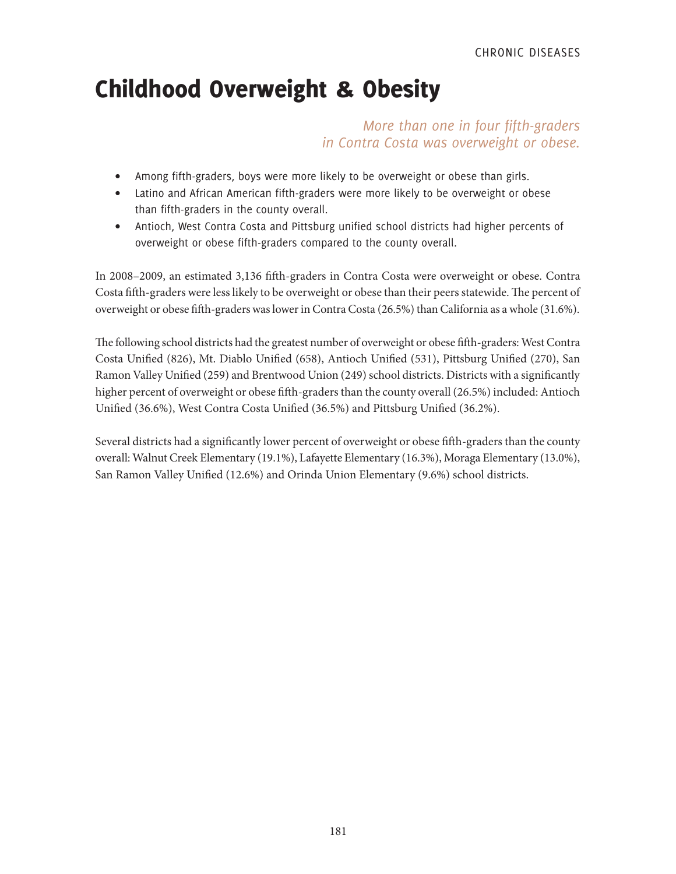# Childhood Overweight & Obesity

# *More than one in four fifth-graders in Contra Costa was overweight or obese.*

- Among fifth-graders, boys were more likely to be overweight or obese than girls.
- Latino and African American fifth-graders were more likely to be overweight or obese than fifth-graders in the county overall.
- Antioch, West Contra Costa and Pittsburg unified school districts had higher percents of overweight or obese fifth-graders compared to the county overall.

In 2008–2009, an estimated 3,136 fifth-graders in Contra Costa were overweight or obese. Contra Costa fifth-graders were less likely to be overweight or obese than their peers statewide. The percent of overweight or obese fifth-graders was lower in Contra Costa (26.5%) than California as a whole (31.6%).

The following school districts had the greatest number of overweight or obese fifth-graders: West Contra Costa Unified (826), Mt. Diablo Unified (658), Antioch Unified (531), Pittsburg Unified (270), San Ramon Valley Unified (259) and Brentwood Union (249) school districts. Districts with a significantly higher percent of overweight or obese fifth-graders than the county overall (26.5%) included: Antioch Unified (36.6%), West Contra Costa Unified (36.5%) and Pittsburg Unified (36.2%).

Several districts had a significantly lower percent of overweight or obese fifth-graders than the county overall: Walnut Creek Elementary (19.1%), Lafayette Elementary (16.3%), Moraga Elementary (13.0%), San Ramon Valley Unified (12.6%) and Orinda Union Elementary (9.6%) school districts.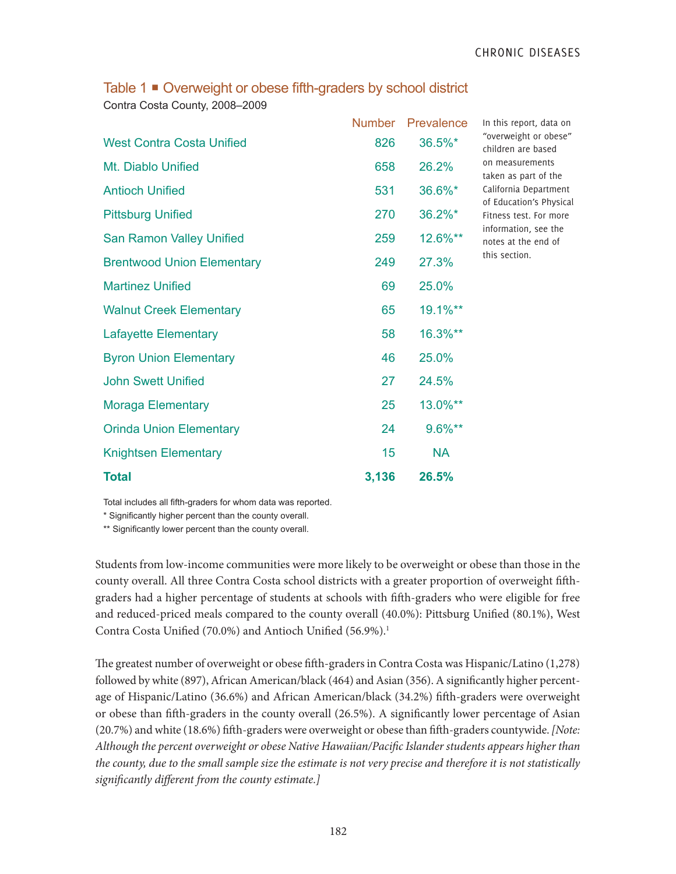| Table 1 ■ Overweight or obese fifth-graders by school district |  |
|----------------------------------------------------------------|--|
| Contra Costa County, 2008-2009                                 |  |

|                                   | <b>Number</b> | Prevalence | In tl           |
|-----------------------------------|---------------|------------|-----------------|
| <b>West Contra Costa Unified</b>  | 826           | 36.5%*     | $"$ ove<br>chil |
| Mt. Diablo Unified                | 658           | 26.2%      | on r<br>take    |
| <b>Antioch Unified</b>            | 531           | 36.6%*     | Cali<br>of E    |
| <b>Pittsburg Unified</b>          | 270           | 36.2%*     | Fitn            |
| <b>San Ramon Valley Unified</b>   | 259           | 12.6%**    | info<br>note    |
| <b>Brentwood Union Elementary</b> | 249           | 27.3%      | this            |
| <b>Martinez Unified</b>           | 69            | 25.0%      |                 |
| <b>Walnut Creek Elementary</b>    | 65            | 19.1%**    |                 |
| <b>Lafayette Elementary</b>       | 58            | 16.3%**    |                 |
| <b>Byron Union Elementary</b>     | 46            | 25.0%      |                 |
| <b>John Swett Unified</b>         | 27            | 24.5%      |                 |
| <b>Moraga Elementary</b>          | 25            | 13.0%**    |                 |
| <b>Orinda Union Elementary</b>    | 24            | 9.6%**     |                 |
| <b>Knightsen Elementary</b>       | 15            | <b>NA</b>  |                 |
| <b>Total</b>                      | 3,136         | 26.5%      |                 |

his report, data on erweight or obese" dren are based measurements en as part of the fornia Department ducation's Physical ess test. For more irmation, see the es at the end of section.

Total includes all fifth-graders for whom data was reported.

\* Significantly higher percent than the county overall.

\*\* Significantly lower percent than the county overall.

Students from low-income communities were more likely to be overweight or obese than those in the county overall. All three Contra Costa school districts with a greater proportion of overweight fifthgraders had a higher percentage of students at schools with fifth-graders who were eligible for free and reduced-priced meals compared to the county overall (40.0%): Pittsburg Unified (80.1%), West Contra Costa Unified (70.0%) and Antioch Unified (56.9%).<sup>1</sup>

The greatest number of overweight or obese fifth-graders in Contra Costa was Hispanic/Latino (1,278) followed by white (897), African American/black (464) and Asian (356). A significantly higher percentage of Hispanic/Latino (36.6%) and African American/black (34.2%) fifth-graders were overweight or obese than fifth-graders in the county overall (26.5%). A significantly lower percentage of Asian (20.7%) and white (18.6%) fifth-graders were overweight or obese than fifth-graders countywide. *[Note: Although the percent overweight or obese Native Hawaiian/Pacific Islander students appears higher than the county, due to the small sample size the estimate is not very precise and therefore it is not statistically significantly different from the county estimate.]*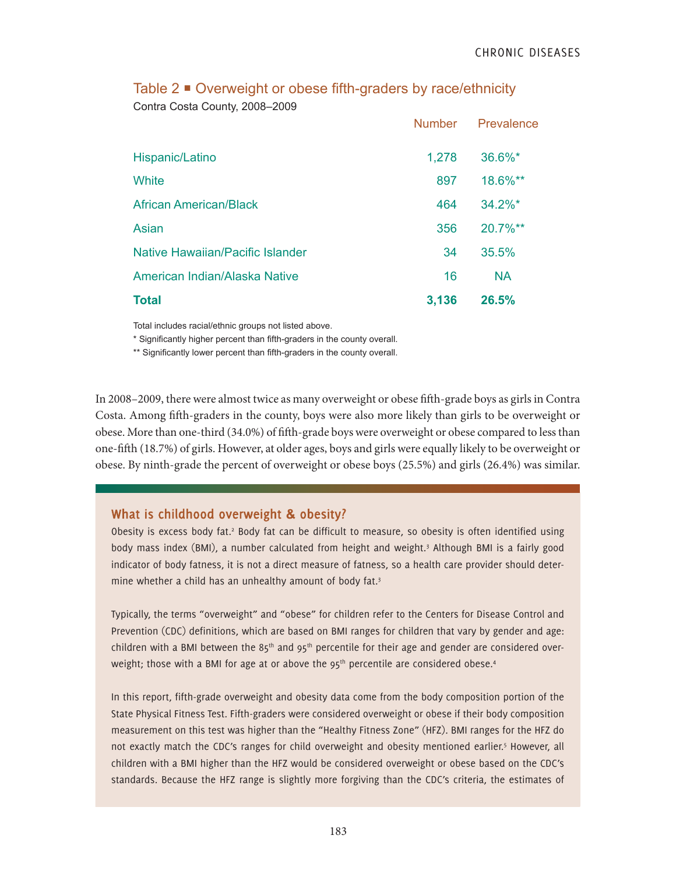|                                  | <b>Number</b> | Prevalence |
|----------------------------------|---------------|------------|
| Hispanic/Latino                  | 1,278         | 36.6%*     |
| White                            | 897           | 18.6%**    |
| <b>African American/Black</b>    | 464           | $34.2\%$ * |
| Asian                            | 356           | 20.7%**    |
| Native Hawaiian/Pacific Islander | 34            | 35.5%      |
| American Indian/Alaska Native    | 16            | <b>NA</b>  |
| <b>Total</b>                     | 3,136         | 26.5%      |

Table 2 ■ Overweight or obese fifth-graders by race/ethnicity Contra Costa County, 2008–2009

Total includes racial/ethnic groups not listed above.

\* Significantly higher percent than fifth-graders in the county overall.

\*\* Significantly lower percent than fifth-graders in the county overall.

In 2008–2009, there were almost twice as many overweight or obese fifth-grade boys as girls in Contra Costa. Among fifth-graders in the county, boys were also more likely than girls to be overweight or obese. More than one-third (34.0%) of fifth-grade boys were overweight or obese compared to less than one-fifth (18.7%) of girls. However, at older ages, boys and girls were equally likely to be overweight or obese. By ninth-grade the percent of overweight or obese boys (25.5%) and girls (26.4%) was similar.

## **What is childhood overweight & obesity?**

Obesity is excess body fat.<sup>2</sup> Body fat can be difficult to measure, so obesity is often identified using body mass index (BMI), a number calculated from height and weight.<sup>3</sup> Although BMI is a fairly good indicator of body fatness, it is not a direct measure of fatness, so a health care provider should determine whether a child has an unhealthy amount of body fat.3

Typically, the terms "overweight" and "obese" for children refer to the Centers for Disease Control and Prevention (CDC) definitions, which are based on BMI ranges for children that vary by gender and age: children with a BMI between the  $85<sup>th</sup>$  and  $95<sup>th</sup>$  percentile for their age and gender are considered overweight; those with a BMI for age at or above the  $95<sup>th</sup>$  percentile are considered obese.<sup>4</sup>

In this report, fifth-grade overweight and obesity data come from the body composition portion of the State Physical Fitness Test. Fifth-graders were considered overweight or obese if their body composition measurement on this test was higher than the "Healthy Fitness Zone" (HFZ). BMI ranges for the HFZ do not exactly match the CDC's ranges for child overweight and obesity mentioned earlier.<sup>5</sup> However, all children with a BMI higher than the HFZ would be considered overweight or obese based on the CDC's standards. Because the HFZ range is slightly more forgiving than the CDC's criteria, the estimates of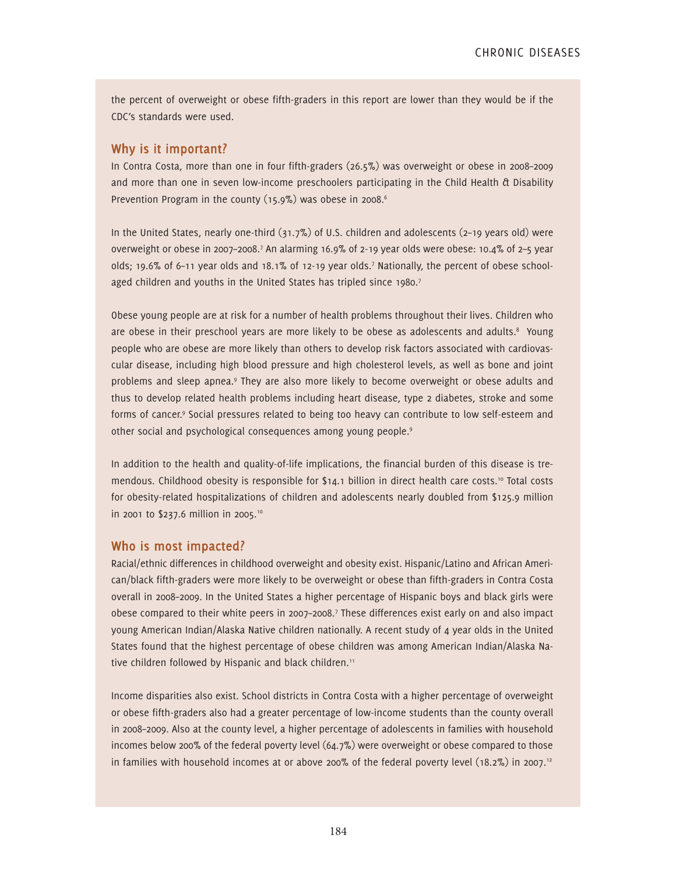the percent of overweight or obese fifth-graders in this report are lower than they would be if the CDC's standards were used.

## **Why is it important?**

In Contra Costa, more than one in four fifth-graders (26.5%) was overweight or obese in 2008–2009 and more than one in seven low-income preschoolers participating in the Child Health & Disability Prevention Program in the county (15.9%) was obese in 2008.<sup>6</sup>

In the United States, nearly one-third (31.7%) of U.S. children and adolescents (2–19 years old) were overweight or obese in 2007–2008.<sup>7</sup> An alarming 16.9% of 2-19 year olds were obese: 10.4% of 2-5 year olds; 19.6% of 6–11 year olds and 18.1% of 12-19 year olds.7 Nationally, the percent of obese schoolaged children and youths in the United States has tripled since 1980. $<sup>7</sup>$ </sup>

Obese young people are at risk for a number of health problems throughout their lives. Children who are obese in their preschool years are more likely to be obese as adolescents and adults.<sup>8</sup> Young people who are obese are more likely than others to develop risk factors associated with cardiovascular disease, including high blood pressure and high cholesterol levels, as well as bone and joint problems and sleep apnea.<sup>9</sup> They are also more likely to become overweight or obese adults and thus to develop related health problems including heart disease, type 2 diabetes, stroke and some forms of cancer.<sup>9</sup> Social pressures related to being too heavy can contribute to low self-esteem and other social and psychological consequences among young people.9

In addition to the health and quality-of-life implications, the financial burden of this disease is tremendous. Childhood obesity is responsible for \$14.1 billion in direct health care costs.<sup>10</sup> Total costs for obesity-related hospitalizations of children and adolescents nearly doubled from \$125.9 million in 2001 to \$237.6 million in 2005.<sup>10</sup>

## **Who is most impacted?**

Racial/ethnic differences in childhood overweight and obesity exist. Hispanic/Latino and African American/black fifth-graders were more likely to be overweight or obese than fifth-graders in Contra Costa overall in 2008–2009. In the United States a higher percentage of Hispanic boys and black girls were obese compared to their white peers in 2007–2008.7 These differences exist early on and also impact young American Indian/Alaska Native children nationally. A recent study of 4 year olds in the United States found that the highest percentage of obese children was among American Indian/Alaska Native children followed by Hispanic and black children.<sup>11</sup>

Income disparities also exist. School districts in Contra Costa with a higher percentage of overweight or obese fifth-graders also had a greater percentage of low-income students than the county overall in 2008–2009. Also at the county level, a higher percentage of adolescents in families with household incomes below 200% of the federal poverty level (64.7%) were overweight or obese compared to those in families with household incomes at or above 200% of the federal poverty level (18.2%) in 2007.<sup>12</sup>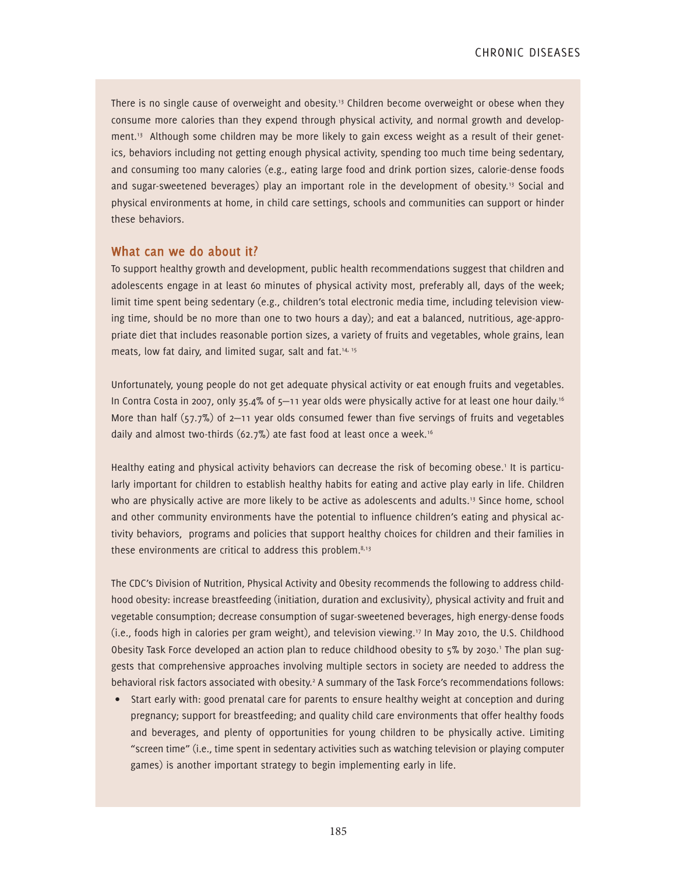There is no single cause of overweight and obesity.<sup>13</sup> Children become overweight or obese when they consume more calories than they expend through physical activity, and normal growth and development.<sup>13</sup> Although some children may be more likely to gain excess weight as a result of their genetics, behaviors including not getting enough physical activity, spending too much time being sedentary, and consuming too many calories (e.g., eating large food and drink portion sizes, calorie-dense foods and sugar-sweetened beverages) play an important role in the development of obesity.<sup>13</sup> Social and physical environments at home, in child care settings, schools and communities can support or hinder these behaviors.

#### **What can we do about it?**

To support healthy growth and development, public health recommendations suggest that children and adolescents engage in at least 60 minutes of physical activity most, preferably all, days of the week; limit time spent being sedentary (e.g., children's total electronic media time, including television viewing time, should be no more than one to two hours a day); and eat a balanced, nutritious, age-appropriate diet that includes reasonable portion sizes, a variety of fruits and vegetables, whole grains, lean meats, low fat dairy, and limited sugar, salt and fat.<sup>14, 15</sup>

Unfortunately, young people do not get adequate physical activity or eat enough fruits and vegetables. In Contra Costa in 2007, only 35.4% of 5–11 year olds were physically active for at least one hour daily.<sup>16</sup> More than half  $(57.7\%)$  of 2-11 year olds consumed fewer than five servings of fruits and vegetables daily and almost two-thirds (62.7%) ate fast food at least once a week.16

Healthy eating and physical activity behaviors can decrease the risk of becoming obese.<sup>1</sup> It is particularly important for children to establish healthy habits for eating and active play early in life. Children who are physically active are more likely to be active as adolescents and adults.<sup>13</sup> Since home, school and other community environments have the potential to influence children's eating and physical activity behaviors, programs and policies that support healthy choices for children and their families in these environments are critical to address this problem. $8,13$ 

The CDC's Division of Nutrition, Physical Activity and Obesity recommends the following to address childhood obesity: increase breastfeeding (initiation, duration and exclusivity), physical activity and fruit and vegetable consumption; decrease consumption of sugar-sweetened beverages, high energy-dense foods (i.e., foods high in calories per gram weight), and television viewing.17 In May 2010, the U.S. Childhood Obesity Task Force developed an action plan to reduce childhood obesity to 5% by 2030.' The plan suggests that comprehensive approaches involving multiple sectors in society are needed to address the behavioral risk factors associated with obesity.<sup>2</sup> A summary of the Task Force's recommendations follows:

• Start early with: good prenatal care for parents to ensure healthy weight at conception and during pregnancy; support for breastfeeding; and quality child care environments that offer healthy foods and beverages, and plenty of opportunities for young children to be physically active. Limiting "screen time" (i.e., time spent in sedentary activities such as watching television or playing computer games) is another important strategy to begin implementing early in life.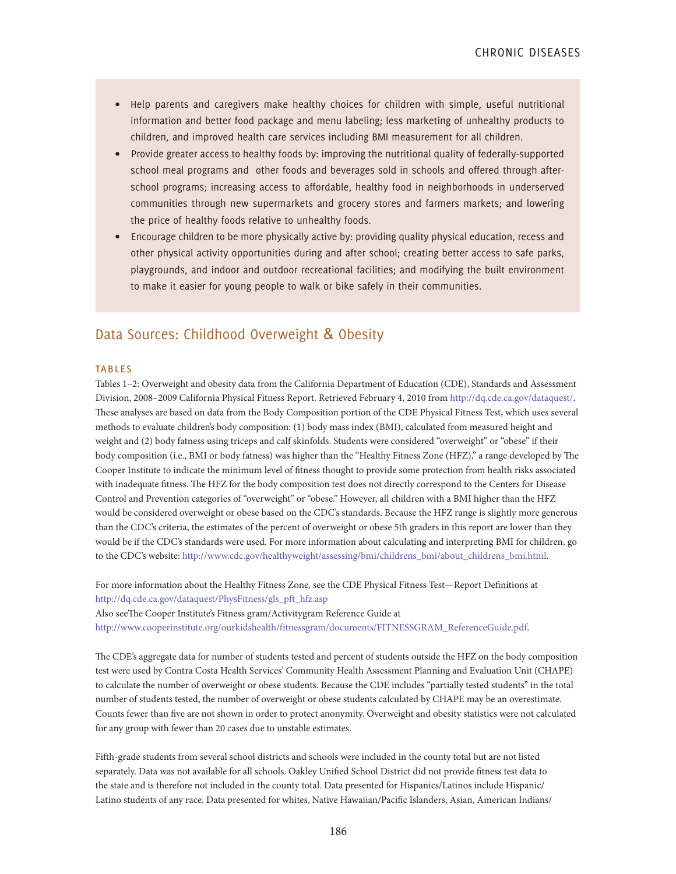- Help parents and caregivers make healthy choices for children with simple, useful nutritional information and better food package and menu labeling; less marketing of unhealthy products to children, and improved health care services including BMI measurement for all children.
- Provide greater access to healthy foods by: improving the nutritional quality of federally-supported school meal programs and other foods and beverages sold in schools and offered through afterschool programs; increasing access to affordable, healthy food in neighborhoods in underserved communities through new supermarkets and grocery stores and farmers markets; and lowering the price of healthy foods relative to unhealthy foods.
- Encourage children to be more physically active by: providing quality physical education, recess and other physical activity opportunities during and after school; creating better access to safe parks, playgrounds, and indoor and outdoor recreational facilities; and modifying the built environment to make it easier for young people to walk or bike safely in their communities.

## Data Sources: Childhood Overweight & Obesity

#### **TABLES**

Tables 1–2: Overweight and obesity data from the California Department of Education (CDE), Standards and Assessment Division, 2008–2009 California Physical Fitness Report. Retrieved February 4, 2010 from http://dq.cde.ca.gov/dataquest/. These analyses are based on data from the Body Composition portion of the CDE Physical Fitness Test, which uses several methods to evaluate children's body composition: (1) body mass index (BMI), calculated from measured height and weight and (2) body fatness using triceps and calf skinfolds. Students were considered "overweight" or "obese" if their body composition (i.e., BMI or body fatness) was higher than the "Healthy Fitness Zone (HFZ)," a range developed by The Cooper Institute to indicate the minimum level of fitness thought to provide some protection from health risks associated with inadequate fitness. The HFZ for the body composition test does not directly correspond to the Centers for Disease Control and Prevention categories of "overweight" or "obese." However, all children with a BMI higher than the HFZ would be considered overweight or obese based on the CDC's standards. Because the HFZ range is slightly more generous than the CDC's criteria, the estimates of the percent of overweight or obese 5th graders in this report are lower than they would be if the CDC's standards were used. For more information about calculating and interpreting BMI for children, go to the CDC's website: http://www.cdc.gov/healthyweight/assessing/bmi/childrens\_bmi/about\_childrens\_bmi.html.

For more information about the Healthy Fitness Zone, see the CDE Physical Fitness Test—Report Definitions at http://dq.cde.ca.gov/dataquest/PhysFitness/gls\_pft\_hfz.asp Also seeThe Cooper Institute's Fitness gram/Activitygram Reference Guide at http://www.cooperinstitute.org/ourkidshealth/fitnessgram/documents/FITNESSGRAM\_ReferenceGuide.pdf.

The CDE's aggregate data for number of students tested and percent of students outside the HFZ on the body composition test were used by Contra Costa Health Services' Community Health Assessment Planning and Evaluation Unit (CHAPE) to calculate the number of overweight or obese students. Because the CDE includes "partially tested students" in the total number of students tested, the number of overweight or obese students calculated by CHAPE may be an overestimate. Counts fewer than five are not shown in order to protect anonymity. Overweight and obesity statistics were not calculated for any group with fewer than 20 cases due to unstable estimates.

Fifth-grade students from several school districts and schools were included in the county total but are not listed separately. Data was not available for all schools. Oakley Unified School District did not provide fitness test data to the state and is therefore not included in the county total. Data presented for Hispanics/Latinos include Hispanic/ Latino students of any race. Data presented for whites, Native Hawaiian/Pacific Islanders, Asian, American Indians/